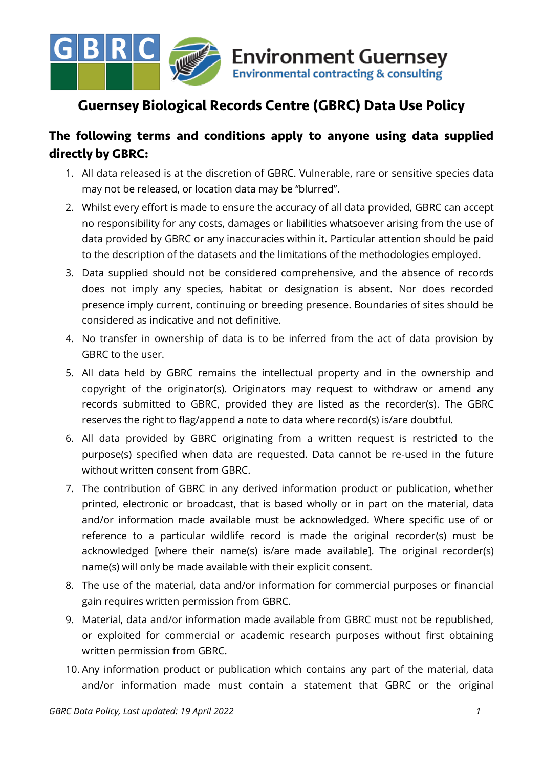

# **Guernsey Biological Records Centre (GBRC) Data Use Policy**

## **The following terms and conditions apply to anyone using data supplied directly by GBRC:**

- 1. All data released is at the discretion of GBRC. Vulnerable, rare or sensitive species data may not be released, or location data may be "blurred".
- 2. Whilst every effort is made to ensure the accuracy of all data provided, GBRC can accept no responsibility for any costs, damages or liabilities whatsoever arising from the use of data provided by GBRC or any inaccuracies within it. Particular attention should be paid to the description of the datasets and the limitations of the methodologies employed.
- 3. Data supplied should not be considered comprehensive, and the absence of records does not imply any species, habitat or designation is absent. Nor does recorded presence imply current, continuing or breeding presence. Boundaries of sites should be considered as indicative and not definitive.
- 4. No transfer in ownership of data is to be inferred from the act of data provision by GBRC to the user.
- 5. All data held by GBRC remains the intellectual property and in the ownership and copyright of the originator(s). Originators may request to withdraw or amend any records submitted to GBRC, provided they are listed as the recorder(s). The GBRC reserves the right to flag/append a note to data where record(s) is/are doubtful.
- 6. All data provided by GBRC originating from a written request is restricted to the purpose(s) specified when data are requested. Data cannot be re-used in the future without written consent from GBRC.
- 7. The contribution of GBRC in any derived information product or publication, whether printed, electronic or broadcast, that is based wholly or in part on the material, data and/or information made available must be acknowledged. Where specific use of or reference to a particular wildlife record is made the original recorder(s) must be acknowledged [where their name(s) is/are made available]. The original recorder(s) name(s) will only be made available with their explicit consent.
- 8. The use of the material, data and/or information for commercial purposes or financial gain requires written permission from GBRC.
- 9. Material, data and/or information made available from GBRC must not be republished, or exploited for commercial or academic research purposes without first obtaining written permission from GBRC.
- 10. Any information product or publication which contains any part of the material, data and/or information made must contain a statement that GBRC or the original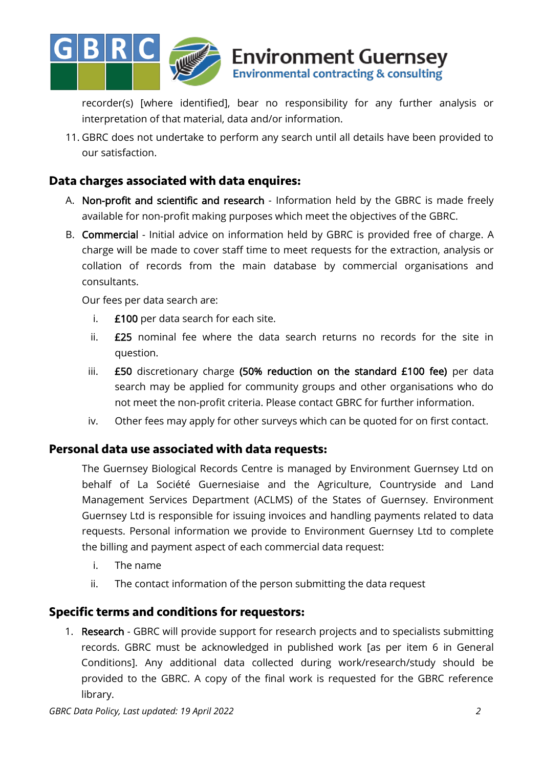

recorder(s) [where identified], bear no responsibility for any further analysis or interpretation of that material, data and/or information.

**Environment Guernsey** Environmental contracting & consulting

11. GBRC does not undertake to perform any search until all details have been provided to our satisfaction.

### **Data charges associated with data enquires:**

- A. Non-profit and scientific and research Information held by the GBRC is made freely available for non-profit making purposes which meet the objectives of the GBRC.
- B. Commercial Initial advice on information held by GBRC is provided free of charge. A charge will be made to cover staff time to meet requests for the extraction, analysis or collation of records from the main database by commercial organisations and consultants.

Our fees per data search are:

- i. £100 per data search for each site.
- ii. £25 nominal fee where the data search returns no records for the site in question.
- iii. **£50** discretionary charge (50% reduction on the standard £100 fee) per data search may be applied for community groups and other organisations who do not meet the non-profit criteria. Please contact GBRC for further information.
- iv. Other fees may apply for other surveys which can be quoted for on first contact.

#### **Personal data use associated with data requests:**

The Guernsey Biological Records Centre is managed by Environment Guernsey Ltd on behalf of La Société Guernesiaise and the Agriculture, Countryside and Land Management Services Department (ACLMS) of the States of Guernsey. Environment Guernsey Ltd is responsible for issuing invoices and handling payments related to data requests. Personal information we provide to Environment Guernsey Ltd to complete the billing and payment aspect of each commercial data request:

- i. The name
- ii. The contact information of the person submitting the data request

### **Specific terms and conditions for requestors:**

1. Research - GBRC will provide support for research projects and to specialists submitting records. GBRC must be acknowledged in published work [as per item 6 in General Conditions]. Any additional data collected during work/research/study should be provided to the GBRC. A copy of the final work is requested for the GBRC reference library.